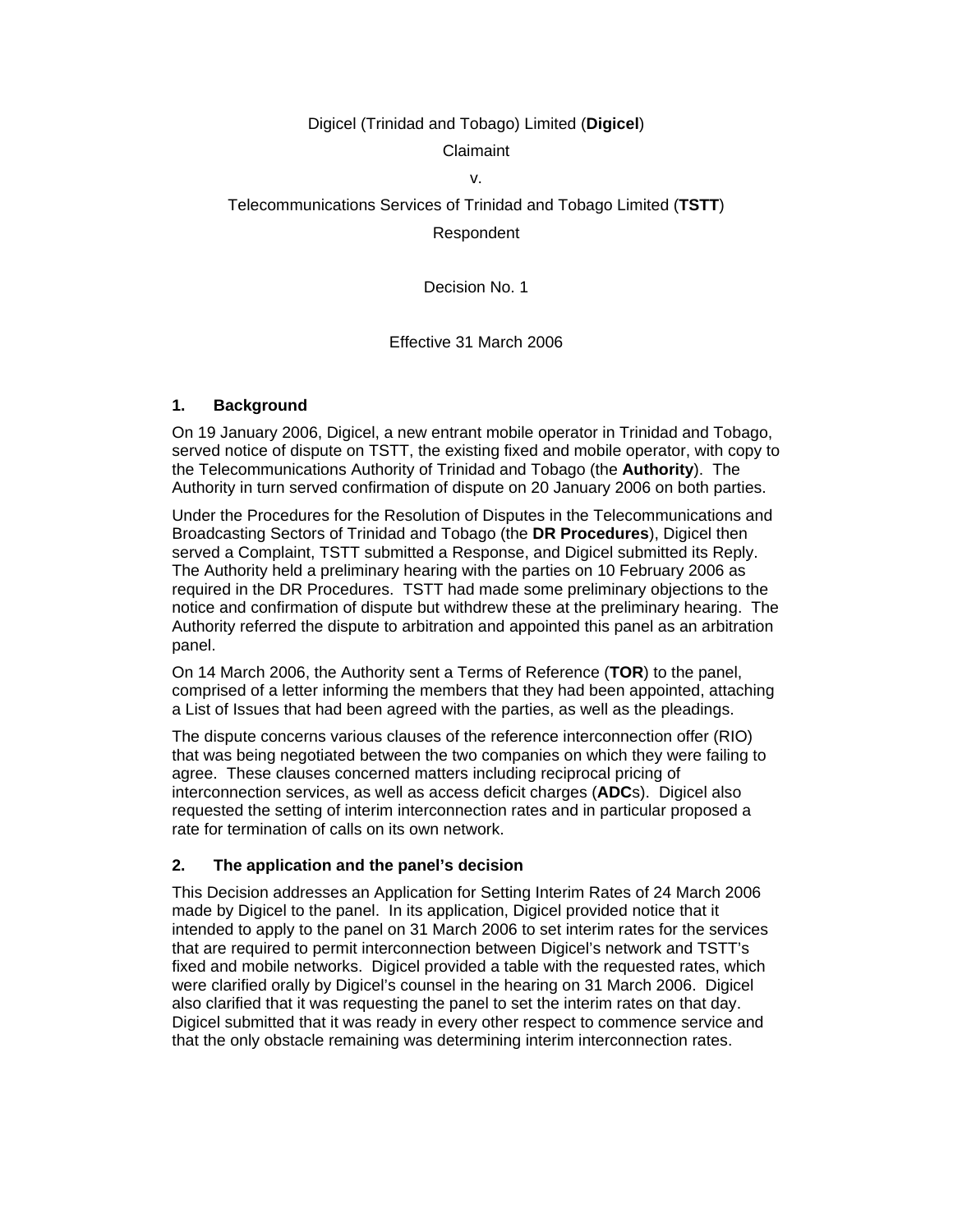## Digicel (Trinidad and Tobago) Limited (**Digicel**) Claimaint

# v.

Telecommunications Services of Trinidad and Tobago Limited (**TSTT**) Respondent

Decision No. 1

## Effective 31 March 2006

#### **1. Background**

On 19 January 2006, Digicel, a new entrant mobile operator in Trinidad and Tobago, served notice of dispute on TSTT, the existing fixed and mobile operator, with copy to the Telecommunications Authority of Trinidad and Tobago (the **Authority**). The Authority in turn served confirmation of dispute on 20 January 2006 on both parties.

Under the Procedures for the Resolution of Disputes in the Telecommunications and Broadcasting Sectors of Trinidad and Tobago (the **DR Procedures**), Digicel then served a Complaint, TSTT submitted a Response, and Digicel submitted its Reply. The Authority held a preliminary hearing with the parties on 10 February 2006 as required in the DR Procedures. TSTT had made some preliminary objections to the notice and confirmation of dispute but withdrew these at the preliminary hearing. The Authority referred the dispute to arbitration and appointed this panel as an arbitration panel.

On 14 March 2006, the Authority sent a Terms of Reference (**TOR**) to the panel, comprised of a letter informing the members that they had been appointed, attaching a List of Issues that had been agreed with the parties, as well as the pleadings.

The dispute concerns various clauses of the reference interconnection offer (RIO) that was being negotiated between the two companies on which they were failing to agree. These clauses concerned matters including reciprocal pricing of interconnection services, as well as access deficit charges (**ADC**s). Digicel also requested the setting of interim interconnection rates and in particular proposed a rate for termination of calls on its own network.

#### **2. The application and the panel's decision**

This Decision addresses an Application for Setting Interim Rates of 24 March 2006 made by Digicel to the panel. In its application, Digicel provided notice that it intended to apply to the panel on 31 March 2006 to set interim rates for the services that are required to permit interconnection between Digicel's network and TSTT's fixed and mobile networks. Digicel provided a table with the requested rates, which were clarified orally by Digicel's counsel in the hearing on 31 March 2006. Digicel also clarified that it was requesting the panel to set the interim rates on that day. Digicel submitted that it was ready in every other respect to commence service and that the only obstacle remaining was determining interim interconnection rates.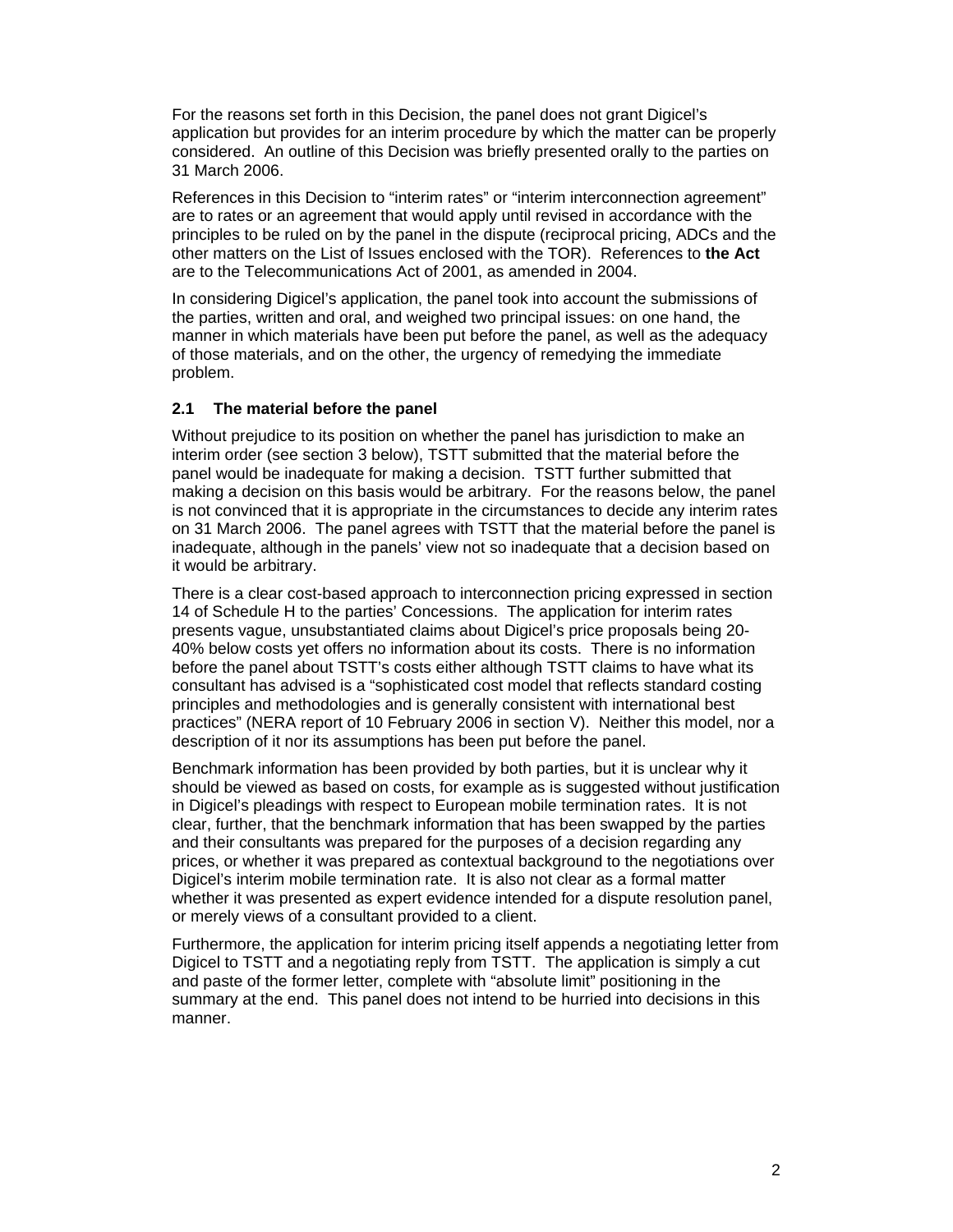For the reasons set forth in this Decision, the panel does not grant Digicel's application but provides for an interim procedure by which the matter can be properly considered. An outline of this Decision was briefly presented orally to the parties on 31 March 2006.

References in this Decision to "interim rates" or "interim interconnection agreement" are to rates or an agreement that would apply until revised in accordance with the principles to be ruled on by the panel in the dispute (reciprocal pricing, ADCs and the other matters on the List of Issues enclosed with the TOR). References to **the Act**  are to the Telecommunications Act of 2001, as amended in 2004.

In considering Digicel's application, the panel took into account the submissions of the parties, written and oral, and weighed two principal issues: on one hand, the manner in which materials have been put before the panel, as well as the adequacy of those materials, and on the other, the urgency of remedying the immediate problem.

#### **2.1 The material before the panel**

Without prejudice to its position on whether the panel has jurisdiction to make an interim order (see section 3 below), TSTT submitted that the material before the panel would be inadequate for making a decision. TSTT further submitted that making a decision on this basis would be arbitrary. For the reasons below, the panel is not convinced that it is appropriate in the circumstances to decide any interim rates on 31 March 2006. The panel agrees with TSTT that the material before the panel is inadequate, although in the panels' view not so inadequate that a decision based on it would be arbitrary.

There is a clear cost-based approach to interconnection pricing expressed in section 14 of Schedule H to the parties' Concessions. The application for interim rates presents vague, unsubstantiated claims about Digicel's price proposals being 20- 40% below costs yet offers no information about its costs. There is no information before the panel about TSTT's costs either although TSTT claims to have what its consultant has advised is a "sophisticated cost model that reflects standard costing principles and methodologies and is generally consistent with international best practices" (NERA report of 10 February 2006 in section V). Neither this model, nor a description of it nor its assumptions has been put before the panel.

Benchmark information has been provided by both parties, but it is unclear why it should be viewed as based on costs, for example as is suggested without justification in Digicel's pleadings with respect to European mobile termination rates. It is not clear, further, that the benchmark information that has been swapped by the parties and their consultants was prepared for the purposes of a decision regarding any prices, or whether it was prepared as contextual background to the negotiations over Digicel's interim mobile termination rate. It is also not clear as a formal matter whether it was presented as expert evidence intended for a dispute resolution panel, or merely views of a consultant provided to a client.

Furthermore, the application for interim pricing itself appends a negotiating letter from Digicel to TSTT and a negotiating reply from TSTT. The application is simply a cut and paste of the former letter, complete with "absolute limit" positioning in the summary at the end. This panel does not intend to be hurried into decisions in this manner.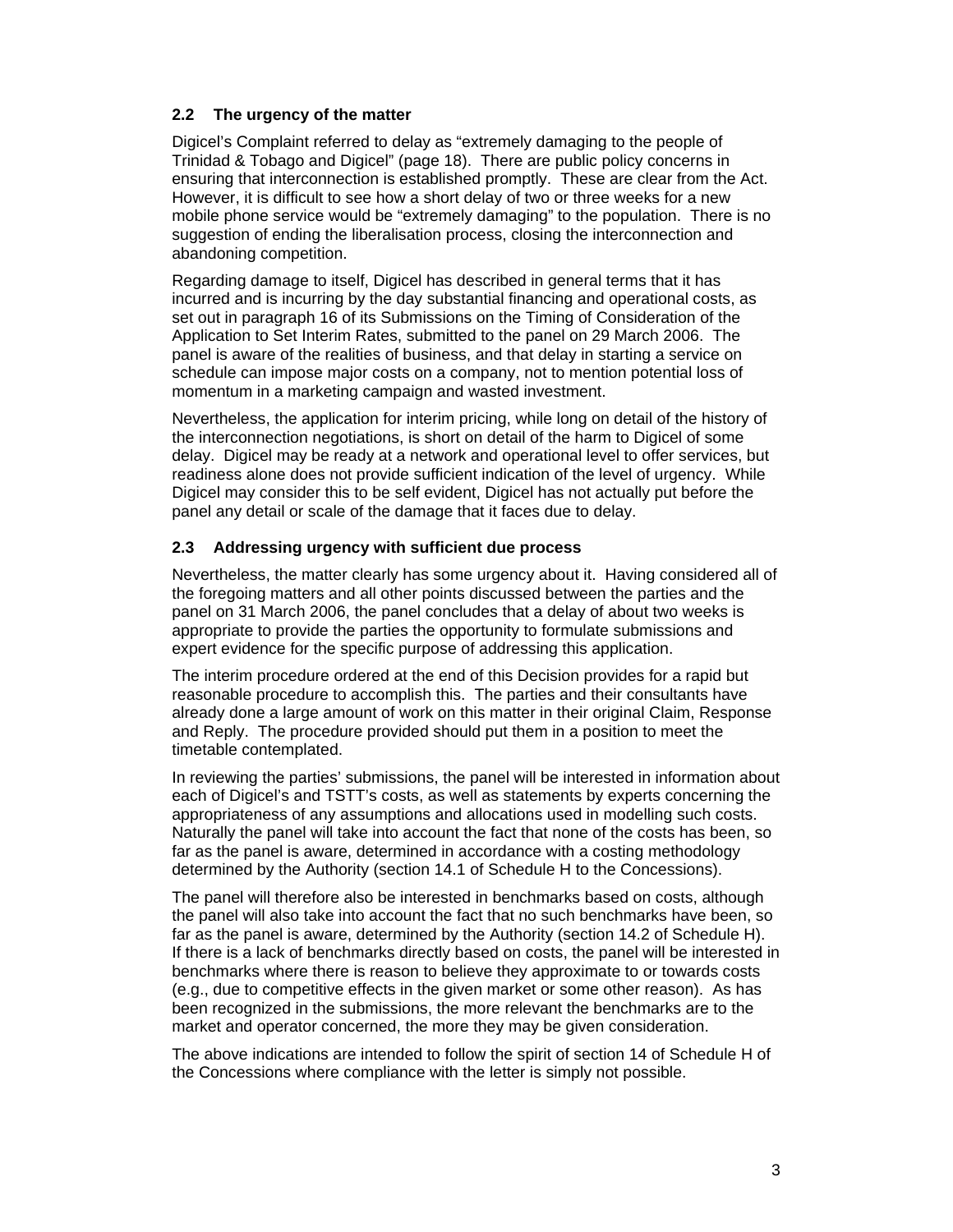## **2.2 The urgency of the matter**

Digicel's Complaint referred to delay as "extremely damaging to the people of Trinidad & Tobago and Digicel" (page 18). There are public policy concerns in ensuring that interconnection is established promptly. These are clear from the Act. However, it is difficult to see how a short delay of two or three weeks for a new mobile phone service would be "extremely damaging" to the population. There is no suggestion of ending the liberalisation process, closing the interconnection and abandoning competition.

Regarding damage to itself, Digicel has described in general terms that it has incurred and is incurring by the day substantial financing and operational costs, as set out in paragraph 16 of its Submissions on the Timing of Consideration of the Application to Set Interim Rates, submitted to the panel on 29 March 2006. The panel is aware of the realities of business, and that delay in starting a service on schedule can impose major costs on a company, not to mention potential loss of momentum in a marketing campaign and wasted investment.

Nevertheless, the application for interim pricing, while long on detail of the history of the interconnection negotiations, is short on detail of the harm to Digicel of some delay. Digicel may be ready at a network and operational level to offer services, but readiness alone does not provide sufficient indication of the level of urgency. While Digicel may consider this to be self evident, Digicel has not actually put before the panel any detail or scale of the damage that it faces due to delay.

## **2.3 Addressing urgency with sufficient due process**

Nevertheless, the matter clearly has some urgency about it. Having considered all of the foregoing matters and all other points discussed between the parties and the panel on 31 March 2006, the panel concludes that a delay of about two weeks is appropriate to provide the parties the opportunity to formulate submissions and expert evidence for the specific purpose of addressing this application.

The interim procedure ordered at the end of this Decision provides for a rapid but reasonable procedure to accomplish this. The parties and their consultants have already done a large amount of work on this matter in their original Claim, Response and Reply. The procedure provided should put them in a position to meet the timetable contemplated.

In reviewing the parties' submissions, the panel will be interested in information about each of Digicel's and TSTT's costs, as well as statements by experts concerning the appropriateness of any assumptions and allocations used in modelling such costs. Naturally the panel will take into account the fact that none of the costs has been, so far as the panel is aware, determined in accordance with a costing methodology determined by the Authority (section 14.1 of Schedule H to the Concessions).

The panel will therefore also be interested in benchmarks based on costs, although the panel will also take into account the fact that no such benchmarks have been, so far as the panel is aware, determined by the Authority (section 14.2 of Schedule H). If there is a lack of benchmarks directly based on costs, the panel will be interested in benchmarks where there is reason to believe they approximate to or towards costs (e.g., due to competitive effects in the given market or some other reason). As has been recognized in the submissions, the more relevant the benchmarks are to the market and operator concerned, the more they may be given consideration.

The above indications are intended to follow the spirit of section 14 of Schedule H of the Concessions where compliance with the letter is simply not possible.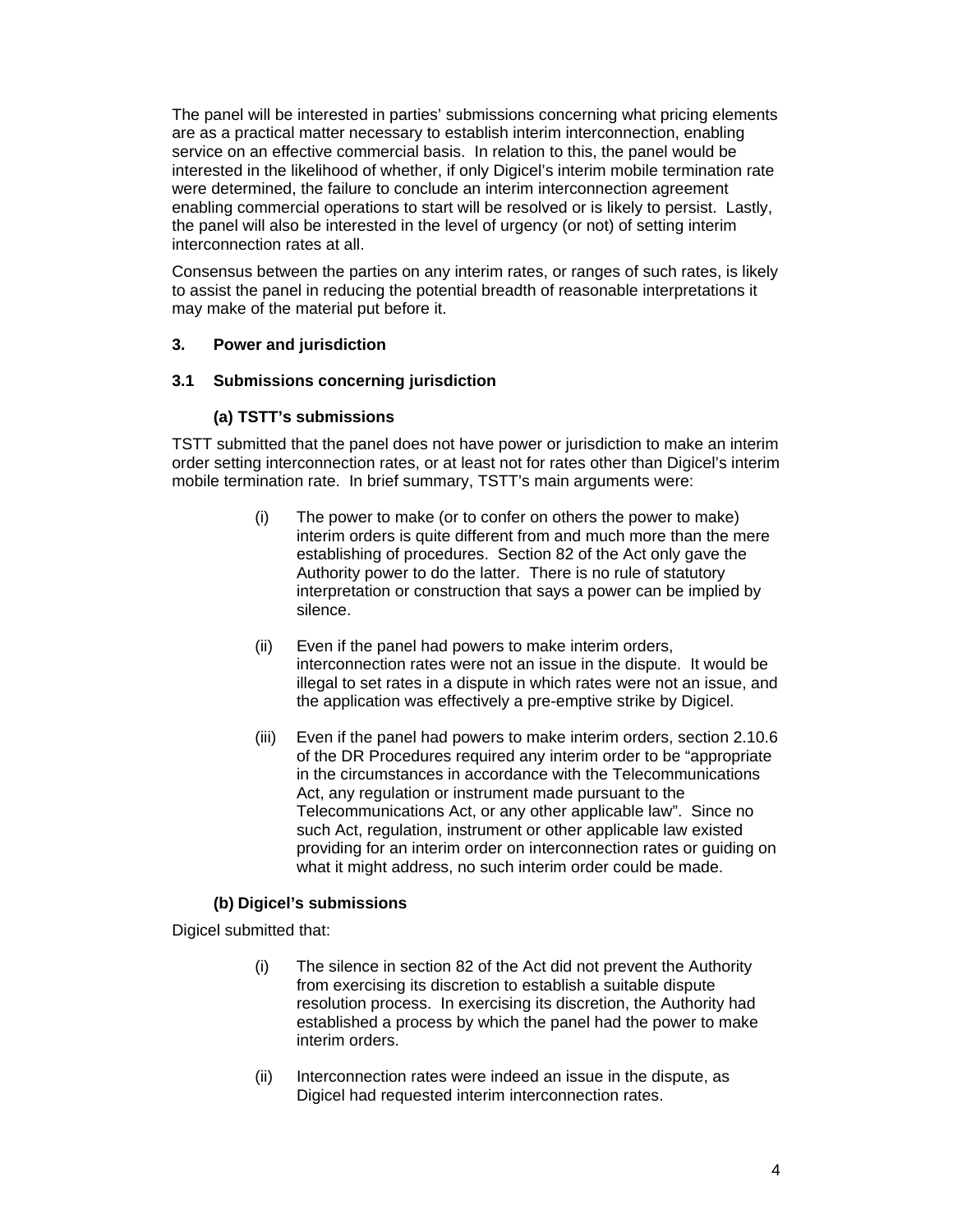The panel will be interested in parties' submissions concerning what pricing elements are as a practical matter necessary to establish interim interconnection, enabling service on an effective commercial basis. In relation to this, the panel would be interested in the likelihood of whether, if only Digicel's interim mobile termination rate were determined, the failure to conclude an interim interconnection agreement enabling commercial operations to start will be resolved or is likely to persist. Lastly, the panel will also be interested in the level of urgency (or not) of setting interim interconnection rates at all.

Consensus between the parties on any interim rates, or ranges of such rates, is likely to assist the panel in reducing the potential breadth of reasonable interpretations it may make of the material put before it.

#### **3. Power and jurisdiction**

#### **3.1 Submissions concerning jurisdiction**

#### **(a) TSTT's submissions**

TSTT submitted that the panel does not have power or jurisdiction to make an interim order setting interconnection rates, or at least not for rates other than Digicel's interim mobile termination rate. In brief summary, TSTT's main arguments were:

- (i) The power to make (or to confer on others the power to make) interim orders is quite different from and much more than the mere establishing of procedures. Section 82 of the Act only gave the Authority power to do the latter. There is no rule of statutory interpretation or construction that says a power can be implied by silence.
- (ii) Even if the panel had powers to make interim orders, interconnection rates were not an issue in the dispute. It would be illegal to set rates in a dispute in which rates were not an issue, and the application was effectively a pre-emptive strike by Digicel.
- (iii) Even if the panel had powers to make interim orders, section 2.10.6 of the DR Procedures required any interim order to be "appropriate in the circumstances in accordance with the Telecommunications Act, any regulation or instrument made pursuant to the Telecommunications Act, or any other applicable law". Since no such Act, regulation, instrument or other applicable law existed providing for an interim order on interconnection rates or guiding on what it might address, no such interim order could be made.

#### **(b) Digicel's submissions**

Digicel submitted that:

- (i) The silence in section 82 of the Act did not prevent the Authority from exercising its discretion to establish a suitable dispute resolution process. In exercising its discretion, the Authority had established a process by which the panel had the power to make interim orders.
- (ii) Interconnection rates were indeed an issue in the dispute, as Digicel had requested interim interconnection rates.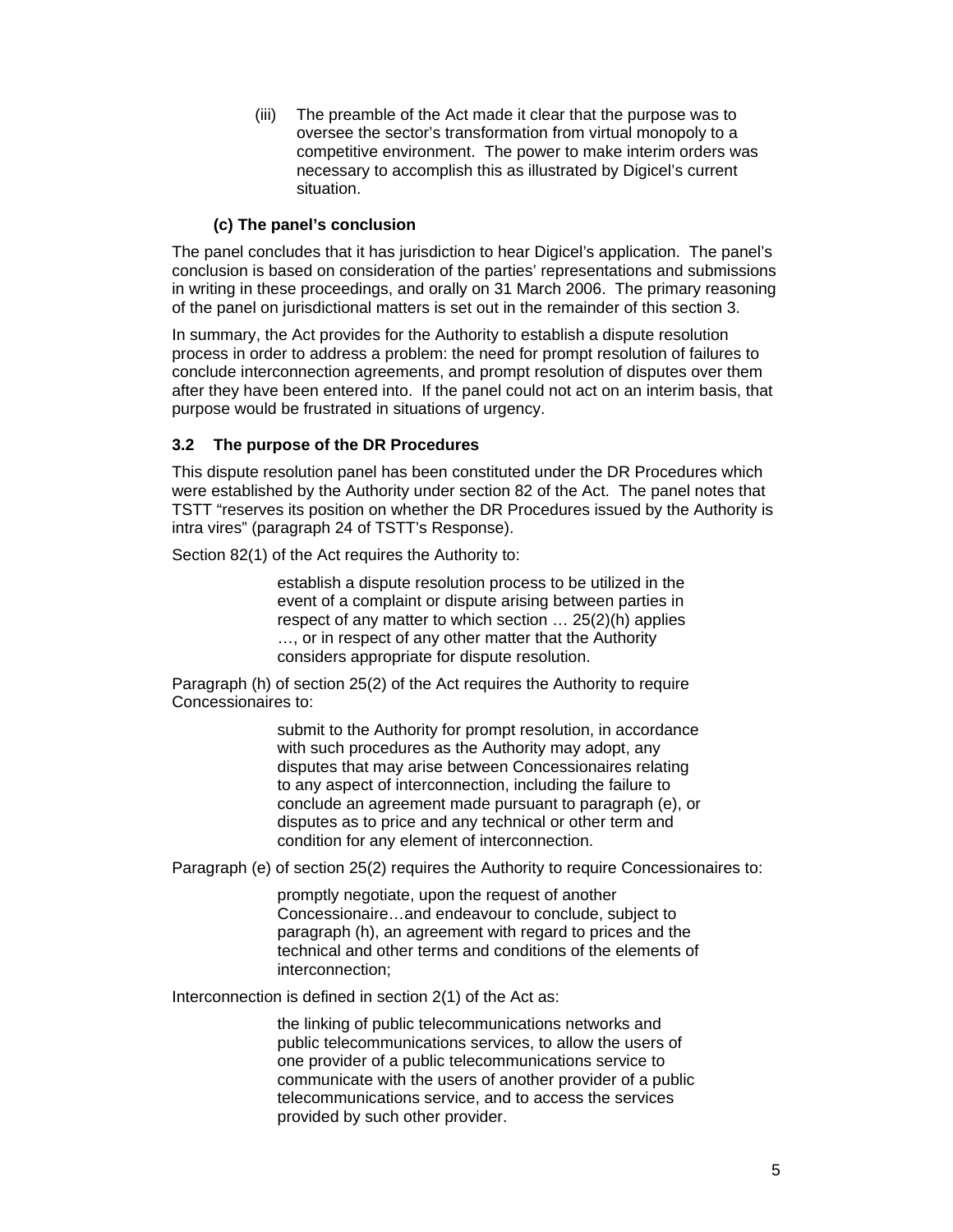(iii) The preamble of the Act made it clear that the purpose was to oversee the sector's transformation from virtual monopoly to a competitive environment. The power to make interim orders was necessary to accomplish this as illustrated by Digicel's current situation.

#### **(c) The panel's conclusion**

The panel concludes that it has jurisdiction to hear Digicel's application. The panel's conclusion is based on consideration of the parties' representations and submissions in writing in these proceedings, and orally on 31 March 2006. The primary reasoning of the panel on jurisdictional matters is set out in the remainder of this section 3.

In summary, the Act provides for the Authority to establish a dispute resolution process in order to address a problem: the need for prompt resolution of failures to conclude interconnection agreements, and prompt resolution of disputes over them after they have been entered into. If the panel could not act on an interim basis, that purpose would be frustrated in situations of urgency.

#### **3.2 The purpose of the DR Procedures**

This dispute resolution panel has been constituted under the DR Procedures which were established by the Authority under section 82 of the Act. The panel notes that TSTT "reserves its position on whether the DR Procedures issued by the Authority is intra vires" (paragraph 24 of TSTT's Response).

Section 82(1) of the Act requires the Authority to:

establish a dispute resolution process to be utilized in the event of a complaint or dispute arising between parties in respect of any matter to which section … 25(2)(h) applies …, or in respect of any other matter that the Authority considers appropriate for dispute resolution.

Paragraph (h) of section 25(2) of the Act requires the Authority to require Concessionaires to:

> submit to the Authority for prompt resolution, in accordance with such procedures as the Authority may adopt, any disputes that may arise between Concessionaires relating to any aspect of interconnection, including the failure to conclude an agreement made pursuant to paragraph (e), or disputes as to price and any technical or other term and condition for any element of interconnection.

Paragraph (e) of section 25(2) requires the Authority to require Concessionaires to:

promptly negotiate, upon the request of another Concessionaire…and endeavour to conclude, subject to paragraph (h), an agreement with regard to prices and the technical and other terms and conditions of the elements of interconnection;

Interconnection is defined in section 2(1) of the Act as:

the linking of public telecommunications networks and public telecommunications services, to allow the users of one provider of a public telecommunications service to communicate with the users of another provider of a public telecommunications service, and to access the services provided by such other provider.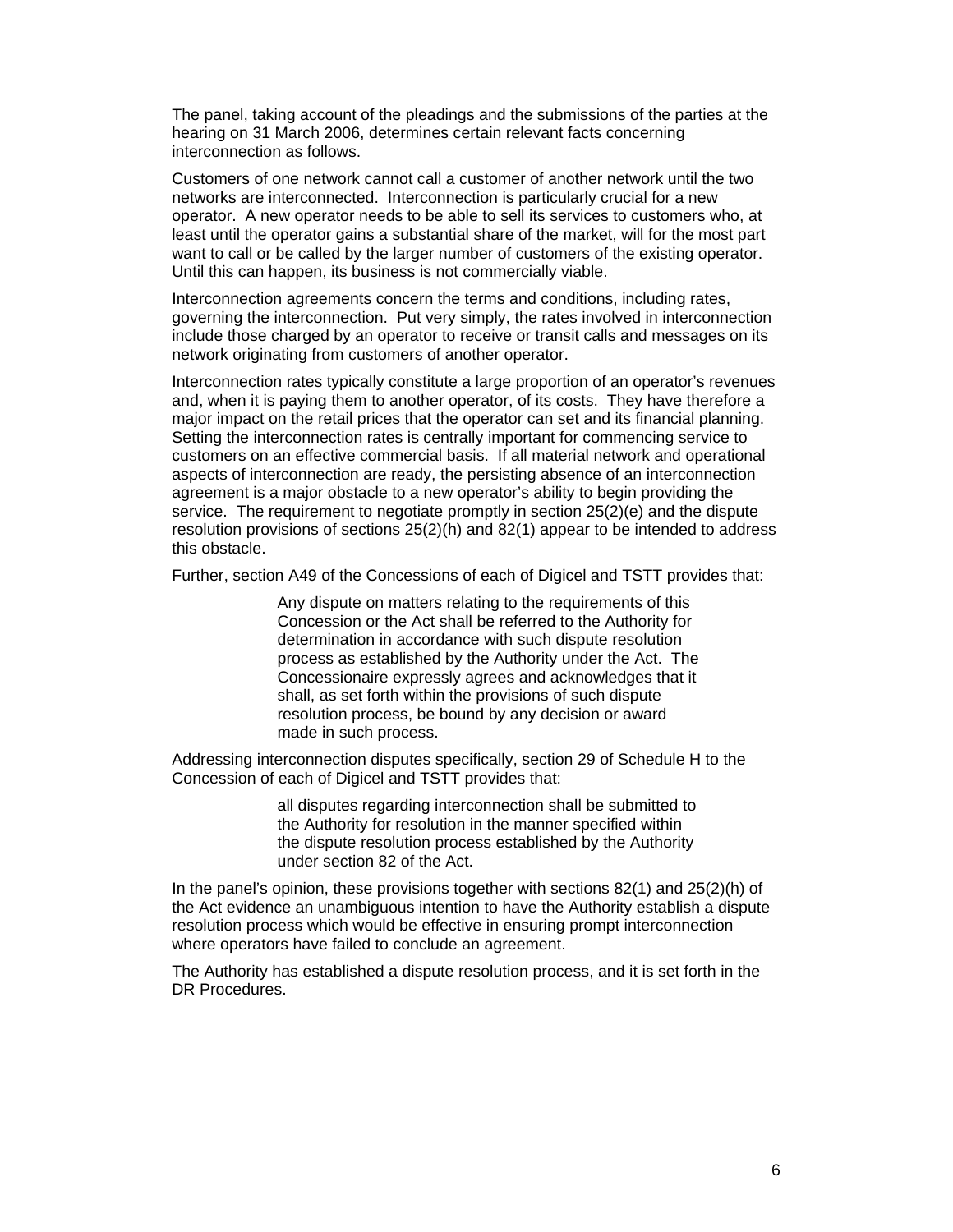The panel, taking account of the pleadings and the submissions of the parties at the hearing on 31 March 2006, determines certain relevant facts concerning interconnection as follows.

Customers of one network cannot call a customer of another network until the two networks are interconnected. Interconnection is particularly crucial for a new operator. A new operator needs to be able to sell its services to customers who, at least until the operator gains a substantial share of the market, will for the most part want to call or be called by the larger number of customers of the existing operator. Until this can happen, its business is not commercially viable.

Interconnection agreements concern the terms and conditions, including rates, governing the interconnection. Put very simply, the rates involved in interconnection include those charged by an operator to receive or transit calls and messages on its network originating from customers of another operator.

Interconnection rates typically constitute a large proportion of an operator's revenues and, when it is paying them to another operator, of its costs. They have therefore a major impact on the retail prices that the operator can set and its financial planning. Setting the interconnection rates is centrally important for commencing service to customers on an effective commercial basis. If all material network and operational aspects of interconnection are ready, the persisting absence of an interconnection agreement is a major obstacle to a new operator's ability to begin providing the service. The requirement to negotiate promptly in section 25(2)(e) and the dispute resolution provisions of sections 25(2)(h) and 82(1) appear to be intended to address this obstacle.

Further, section A49 of the Concessions of each of Digicel and TSTT provides that:

Any dispute on matters relating to the requirements of this Concession or the Act shall be referred to the Authority for determination in accordance with such dispute resolution process as established by the Authority under the Act. The Concessionaire expressly agrees and acknowledges that it shall, as set forth within the provisions of such dispute resolution process, be bound by any decision or award made in such process.

Addressing interconnection disputes specifically, section 29 of Schedule H to the Concession of each of Digicel and TSTT provides that:

> all disputes regarding interconnection shall be submitted to the Authority for resolution in the manner specified within the dispute resolution process established by the Authority under section 82 of the Act.

In the panel's opinion, these provisions together with sections 82(1) and 25(2)(h) of the Act evidence an unambiguous intention to have the Authority establish a dispute resolution process which would be effective in ensuring prompt interconnection where operators have failed to conclude an agreement.

The Authority has established a dispute resolution process, and it is set forth in the DR Procedures.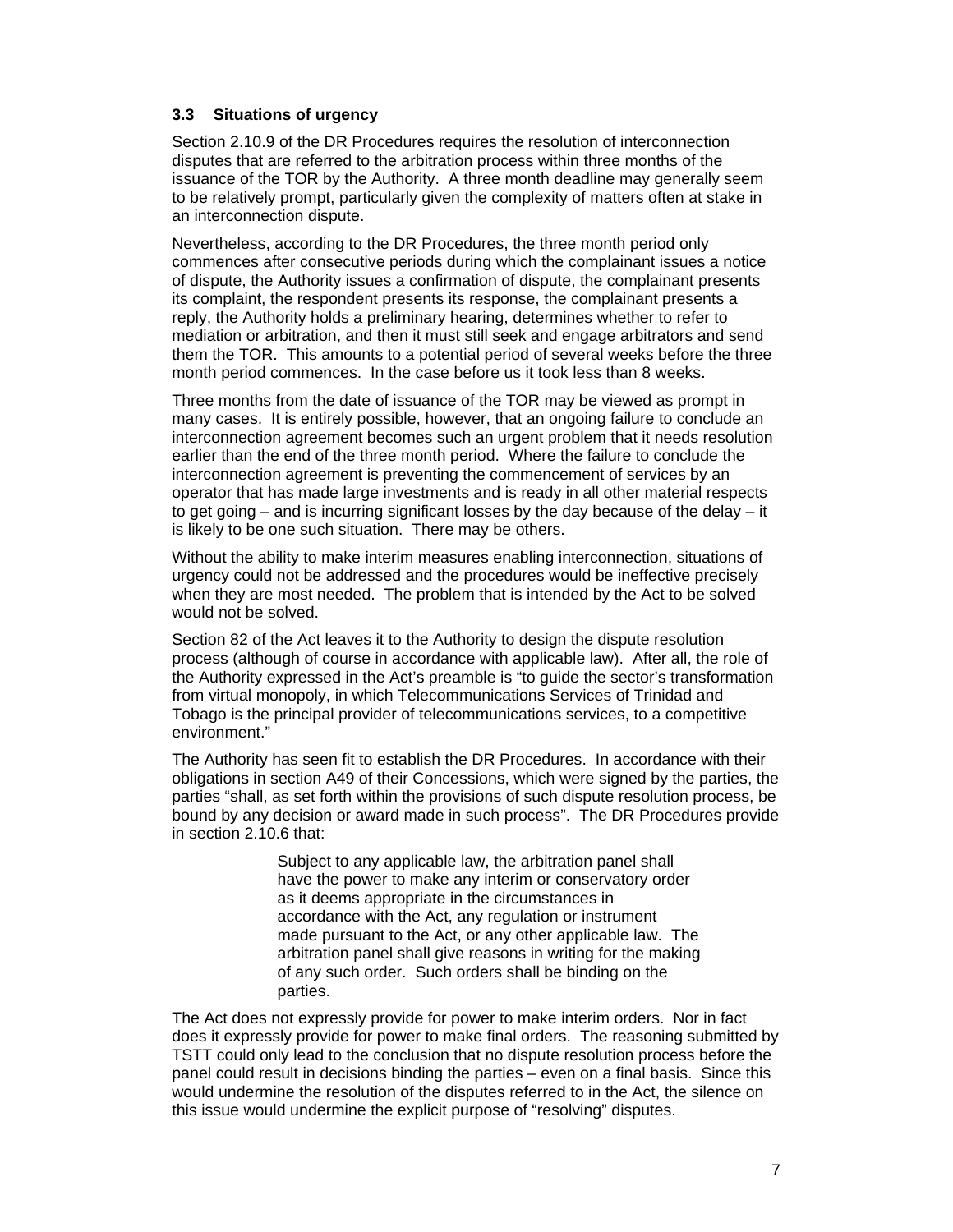#### **3.3 Situations of urgency**

Section 2.10.9 of the DR Procedures requires the resolution of interconnection disputes that are referred to the arbitration process within three months of the issuance of the TOR by the Authority. A three month deadline may generally seem to be relatively prompt, particularly given the complexity of matters often at stake in an interconnection dispute.

Nevertheless, according to the DR Procedures, the three month period only commences after consecutive periods during which the complainant issues a notice of dispute, the Authority issues a confirmation of dispute, the complainant presents its complaint, the respondent presents its response, the complainant presents a reply, the Authority holds a preliminary hearing, determines whether to refer to mediation or arbitration, and then it must still seek and engage arbitrators and send them the TOR. This amounts to a potential period of several weeks before the three month period commences. In the case before us it took less than 8 weeks.

Three months from the date of issuance of the TOR may be viewed as prompt in many cases. It is entirely possible, however, that an ongoing failure to conclude an interconnection agreement becomes such an urgent problem that it needs resolution earlier than the end of the three month period. Where the failure to conclude the interconnection agreement is preventing the commencement of services by an operator that has made large investments and is ready in all other material respects to get going – and is incurring significant losses by the day because of the delay – it is likely to be one such situation. There may be others.

Without the ability to make interim measures enabling interconnection, situations of urgency could not be addressed and the procedures would be ineffective precisely when they are most needed. The problem that is intended by the Act to be solved would not be solved.

Section 82 of the Act leaves it to the Authority to design the dispute resolution process (although of course in accordance with applicable law). After all, the role of the Authority expressed in the Act's preamble is "to guide the sector's transformation from virtual monopoly, in which Telecommunications Services of Trinidad and Tobago is the principal provider of telecommunications services, to a competitive environment."

The Authority has seen fit to establish the DR Procedures. In accordance with their obligations in section A49 of their Concessions, which were signed by the parties, the parties "shall, as set forth within the provisions of such dispute resolution process, be bound by any decision or award made in such process". The DR Procedures provide in section 2.10.6 that:

> Subject to any applicable law, the arbitration panel shall have the power to make any interim or conservatory order as it deems appropriate in the circumstances in accordance with the Act, any regulation or instrument made pursuant to the Act, or any other applicable law. The arbitration panel shall give reasons in writing for the making of any such order. Such orders shall be binding on the parties.

The Act does not expressly provide for power to make interim orders. Nor in fact does it expressly provide for power to make final orders. The reasoning submitted by TSTT could only lead to the conclusion that no dispute resolution process before the panel could result in decisions binding the parties – even on a final basis. Since this would undermine the resolution of the disputes referred to in the Act, the silence on this issue would undermine the explicit purpose of "resolving" disputes.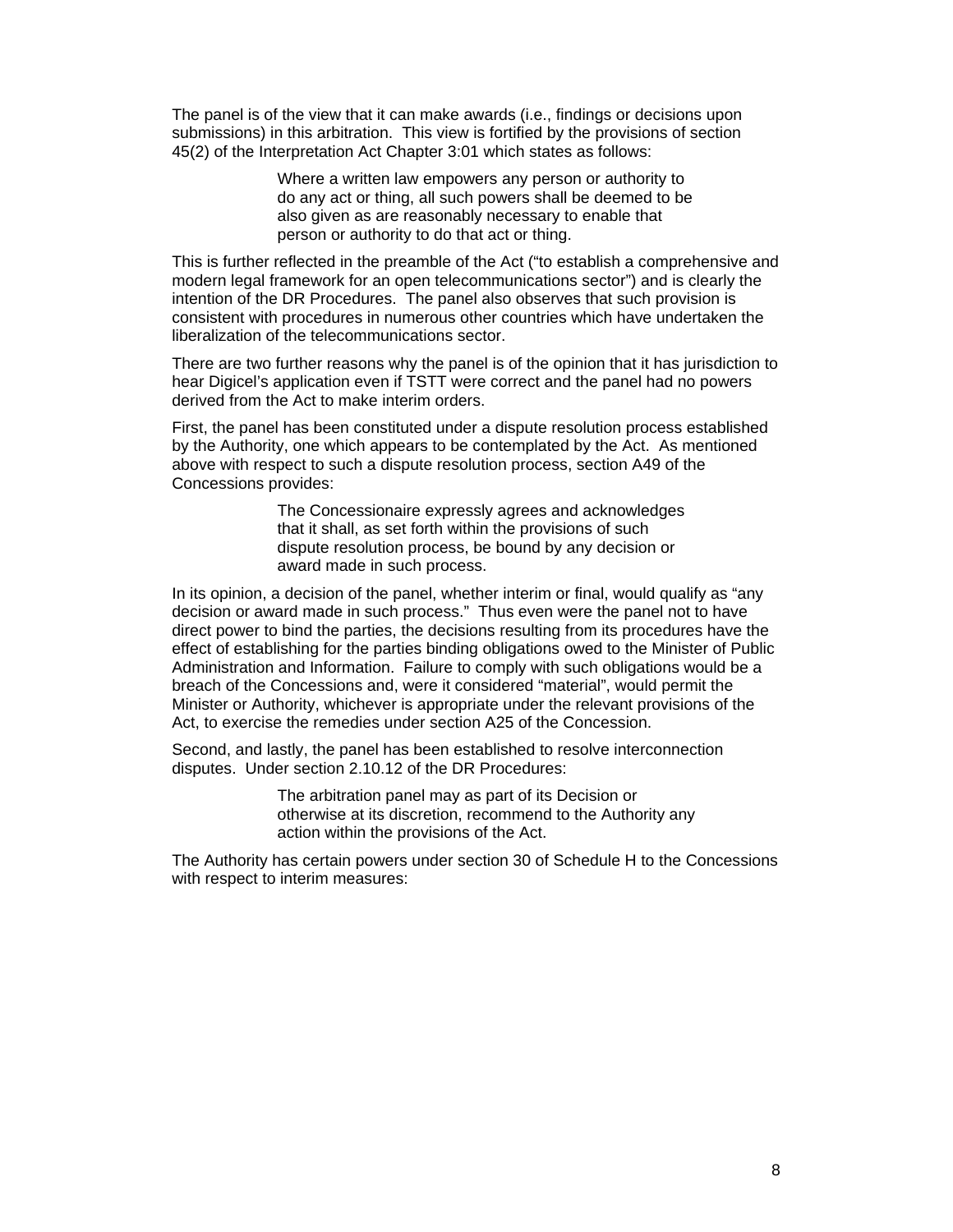The panel is of the view that it can make awards (i.e., findings or decisions upon submissions) in this arbitration. This view is fortified by the provisions of section 45(2) of the Interpretation Act Chapter 3:01 which states as follows:

> Where a written law empowers any person or authority to do any act or thing, all such powers shall be deemed to be also given as are reasonably necessary to enable that person or authority to do that act or thing.

This is further reflected in the preamble of the Act ("to establish a comprehensive and modern legal framework for an open telecommunications sector") and is clearly the intention of the DR Procedures. The panel also observes that such provision is consistent with procedures in numerous other countries which have undertaken the liberalization of the telecommunications sector.

There are two further reasons why the panel is of the opinion that it has jurisdiction to hear Digicel's application even if TSTT were correct and the panel had no powers derived from the Act to make interim orders.

First, the panel has been constituted under a dispute resolution process established by the Authority, one which appears to be contemplated by the Act. As mentioned above with respect to such a dispute resolution process, section A49 of the Concessions provides:

> The Concessionaire expressly agrees and acknowledges that it shall, as set forth within the provisions of such dispute resolution process, be bound by any decision or award made in such process.

In its opinion, a decision of the panel, whether interim or final, would qualify as "any decision or award made in such process." Thus even were the panel not to have direct power to bind the parties, the decisions resulting from its procedures have the effect of establishing for the parties binding obligations owed to the Minister of Public Administration and Information. Failure to comply with such obligations would be a breach of the Concessions and, were it considered "material", would permit the Minister or Authority, whichever is appropriate under the relevant provisions of the Act, to exercise the remedies under section A25 of the Concession.

Second, and lastly, the panel has been established to resolve interconnection disputes. Under section 2.10.12 of the DR Procedures:

> The arbitration panel may as part of its Decision or otherwise at its discretion, recommend to the Authority any action within the provisions of the Act.

The Authority has certain powers under section 30 of Schedule H to the Concessions with respect to interim measures: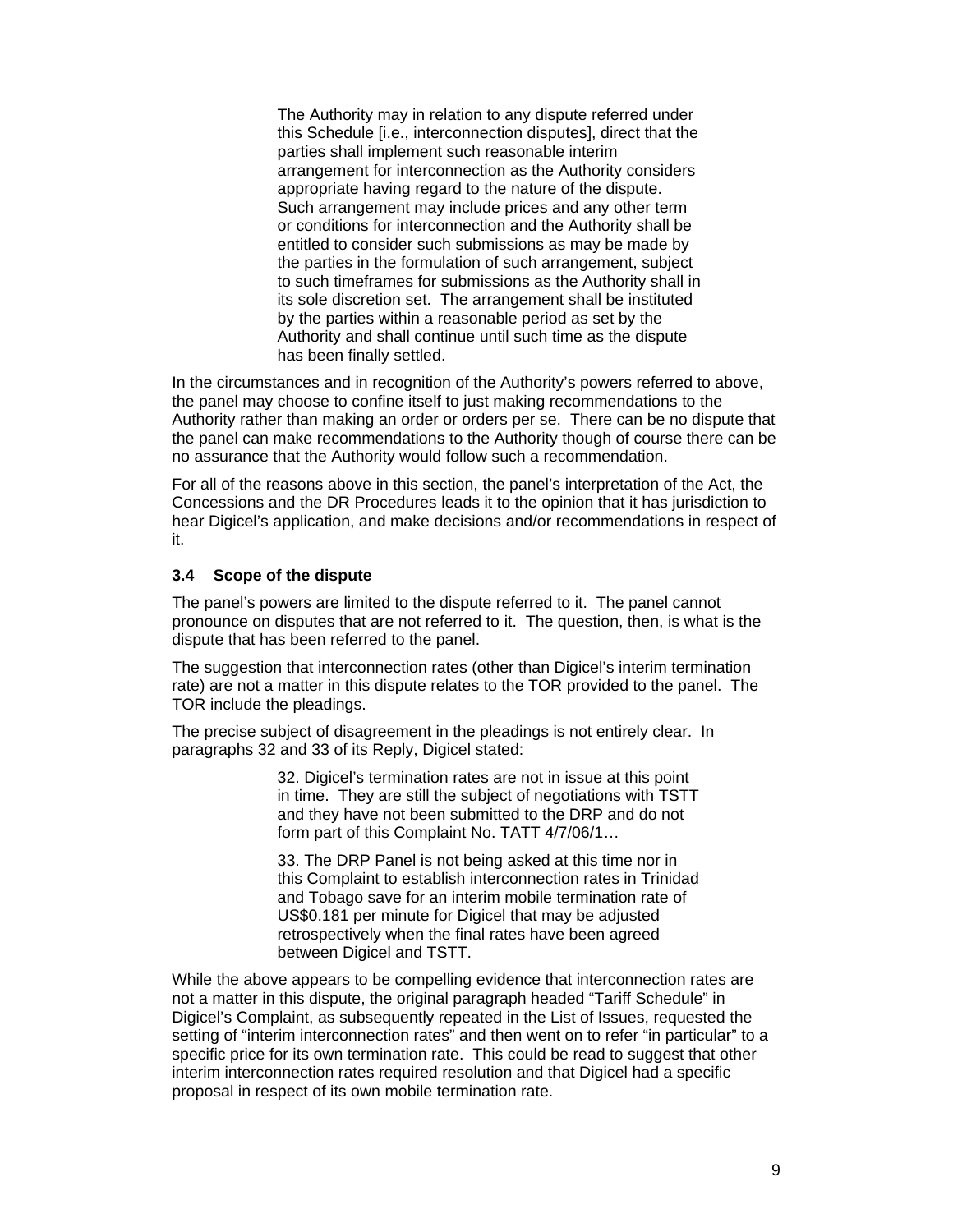The Authority may in relation to any dispute referred under this Schedule [i.e., interconnection disputes], direct that the parties shall implement such reasonable interim arrangement for interconnection as the Authority considers appropriate having regard to the nature of the dispute. Such arrangement may include prices and any other term or conditions for interconnection and the Authority shall be entitled to consider such submissions as may be made by the parties in the formulation of such arrangement, subject to such timeframes for submissions as the Authority shall in its sole discretion set. The arrangement shall be instituted by the parties within a reasonable period as set by the Authority and shall continue until such time as the dispute has been finally settled.

In the circumstances and in recognition of the Authority's powers referred to above, the panel may choose to confine itself to just making recommendations to the Authority rather than making an order or orders per se. There can be no dispute that the panel can make recommendations to the Authority though of course there can be no assurance that the Authority would follow such a recommendation.

For all of the reasons above in this section, the panel's interpretation of the Act, the Concessions and the DR Procedures leads it to the opinion that it has jurisdiction to hear Digicel's application, and make decisions and/or recommendations in respect of it.

#### **3.4 Scope of the dispute**

The panel's powers are limited to the dispute referred to it. The panel cannot pronounce on disputes that are not referred to it. The question, then, is what is the dispute that has been referred to the panel.

The suggestion that interconnection rates (other than Digicel's interim termination rate) are not a matter in this dispute relates to the TOR provided to the panel. The TOR include the pleadings.

The precise subject of disagreement in the pleadings is not entirely clear. In paragraphs 32 and 33 of its Reply, Digicel stated:

> 32. Digicel's termination rates are not in issue at this point in time. They are still the subject of negotiations with TSTT and they have not been submitted to the DRP and do not form part of this Complaint No. TATT 4/7/06/1…

> 33. The DRP Panel is not being asked at this time nor in this Complaint to establish interconnection rates in Trinidad and Tobago save for an interim mobile termination rate of US\$0.181 per minute for Digicel that may be adjusted retrospectively when the final rates have been agreed between Digicel and TSTT.

While the above appears to be compelling evidence that interconnection rates are not a matter in this dispute, the original paragraph headed "Tariff Schedule" in Digicel's Complaint, as subsequently repeated in the List of Issues, requested the setting of "interim interconnection rates" and then went on to refer "in particular" to a specific price for its own termination rate. This could be read to suggest that other interim interconnection rates required resolution and that Digicel had a specific proposal in respect of its own mobile termination rate.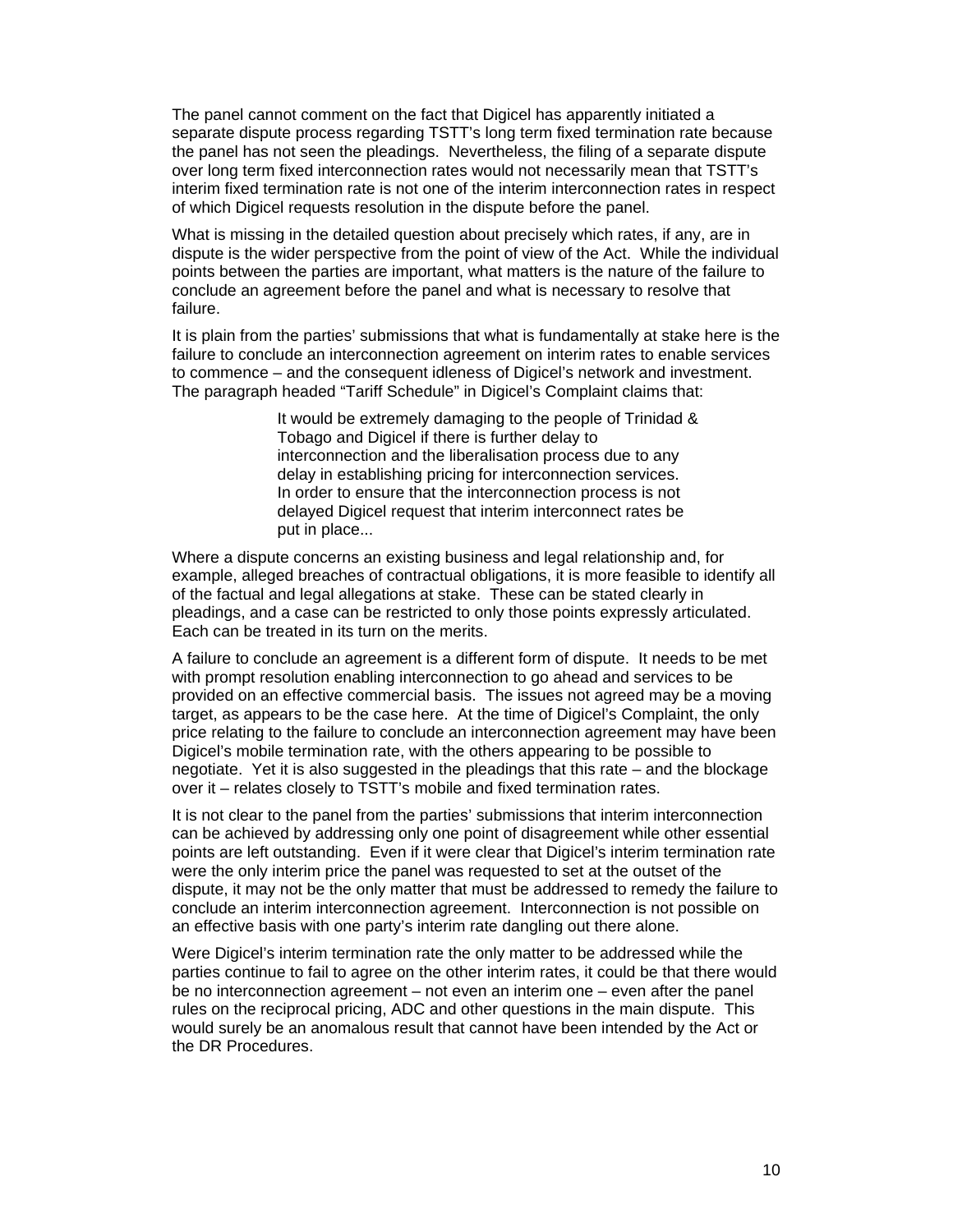The panel cannot comment on the fact that Digicel has apparently initiated a separate dispute process regarding TSTT's long term fixed termination rate because the panel has not seen the pleadings. Nevertheless, the filing of a separate dispute over long term fixed interconnection rates would not necessarily mean that TSTT's interim fixed termination rate is not one of the interim interconnection rates in respect of which Digicel requests resolution in the dispute before the panel.

What is missing in the detailed question about precisely which rates, if any, are in dispute is the wider perspective from the point of view of the Act. While the individual points between the parties are important, what matters is the nature of the failure to conclude an agreement before the panel and what is necessary to resolve that failure.

It is plain from the parties' submissions that what is fundamentally at stake here is the failure to conclude an interconnection agreement on interim rates to enable services to commence – and the consequent idleness of Digicel's network and investment. The paragraph headed "Tariff Schedule" in Digicel's Complaint claims that:

> It would be extremely damaging to the people of Trinidad & Tobago and Digicel if there is further delay to interconnection and the liberalisation process due to any delay in establishing pricing for interconnection services. In order to ensure that the interconnection process is not delayed Digicel request that interim interconnect rates be put in place...

Where a dispute concerns an existing business and legal relationship and, for example, alleged breaches of contractual obligations, it is more feasible to identify all of the factual and legal allegations at stake. These can be stated clearly in pleadings, and a case can be restricted to only those points expressly articulated. Each can be treated in its turn on the merits.

A failure to conclude an agreement is a different form of dispute. It needs to be met with prompt resolution enabling interconnection to go ahead and services to be provided on an effective commercial basis. The issues not agreed may be a moving target, as appears to be the case here. At the time of Digicel's Complaint, the only price relating to the failure to conclude an interconnection agreement may have been Digicel's mobile termination rate, with the others appearing to be possible to negotiate. Yet it is also suggested in the pleadings that this rate – and the blockage over it – relates closely to TSTT's mobile and fixed termination rates.

It is not clear to the panel from the parties' submissions that interim interconnection can be achieved by addressing only one point of disagreement while other essential points are left outstanding. Even if it were clear that Digicel's interim termination rate were the only interim price the panel was requested to set at the outset of the dispute, it may not be the only matter that must be addressed to remedy the failure to conclude an interim interconnection agreement. Interconnection is not possible on an effective basis with one party's interim rate dangling out there alone.

Were Digicel's interim termination rate the only matter to be addressed while the parties continue to fail to agree on the other interim rates, it could be that there would be no interconnection agreement – not even an interim one – even after the panel rules on the reciprocal pricing, ADC and other questions in the main dispute. This would surely be an anomalous result that cannot have been intended by the Act or the DR Procedures.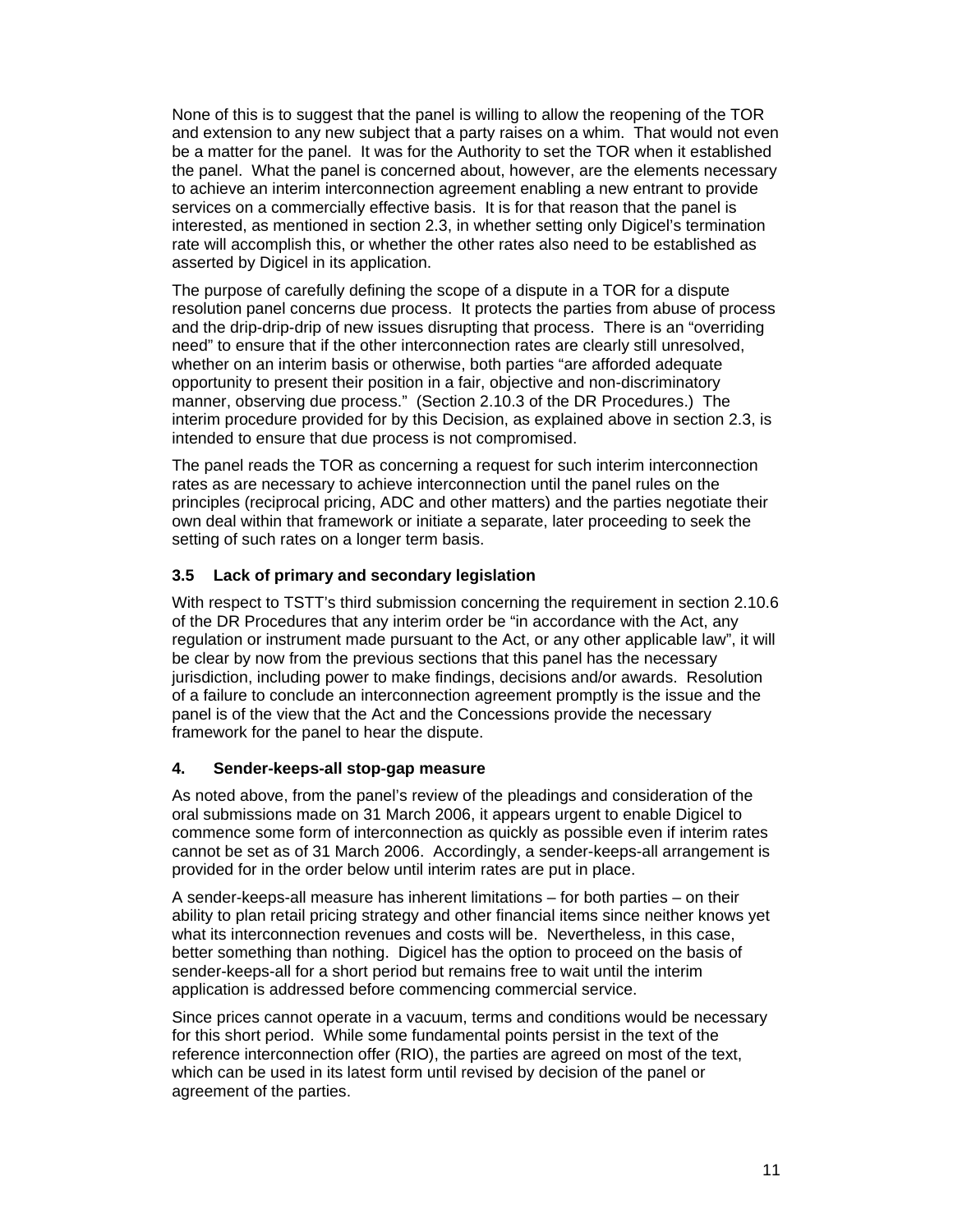None of this is to suggest that the panel is willing to allow the reopening of the TOR and extension to any new subject that a party raises on a whim. That would not even be a matter for the panel. It was for the Authority to set the TOR when it established the panel. What the panel is concerned about, however, are the elements necessary to achieve an interim interconnection agreement enabling a new entrant to provide services on a commercially effective basis. It is for that reason that the panel is interested, as mentioned in section 2.3, in whether setting only Digicel's termination rate will accomplish this, or whether the other rates also need to be established as asserted by Digicel in its application.

The purpose of carefully defining the scope of a dispute in a TOR for a dispute resolution panel concerns due process. It protects the parties from abuse of process and the drip-drip-drip of new issues disrupting that process. There is an "overriding need" to ensure that if the other interconnection rates are clearly still unresolved, whether on an interim basis or otherwise, both parties "are afforded adequate opportunity to present their position in a fair, objective and non-discriminatory manner, observing due process." (Section 2.10.3 of the DR Procedures.) The interim procedure provided for by this Decision, as explained above in section 2.3, is intended to ensure that due process is not compromised.

The panel reads the TOR as concerning a request for such interim interconnection rates as are necessary to achieve interconnection until the panel rules on the principles (reciprocal pricing, ADC and other matters) and the parties negotiate their own deal within that framework or initiate a separate, later proceeding to seek the setting of such rates on a longer term basis.

#### **3.5 Lack of primary and secondary legislation**

With respect to TSTT's third submission concerning the requirement in section 2.10.6 of the DR Procedures that any interim order be "in accordance with the Act, any regulation or instrument made pursuant to the Act, or any other applicable law", it will be clear by now from the previous sections that this panel has the necessary jurisdiction, including power to make findings, decisions and/or awards. Resolution of a failure to conclude an interconnection agreement promptly is the issue and the panel is of the view that the Act and the Concessions provide the necessary framework for the panel to hear the dispute.

#### **4. Sender-keeps-all stop-gap measure**

As noted above, from the panel's review of the pleadings and consideration of the oral submissions made on 31 March 2006, it appears urgent to enable Digicel to commence some form of interconnection as quickly as possible even if interim rates cannot be set as of 31 March 2006. Accordingly, a sender-keeps-all arrangement is provided for in the order below until interim rates are put in place.

A sender-keeps-all measure has inherent limitations – for both parties – on their ability to plan retail pricing strategy and other financial items since neither knows yet what its interconnection revenues and costs will be. Nevertheless, in this case, better something than nothing. Digicel has the option to proceed on the basis of sender-keeps-all for a short period but remains free to wait until the interim application is addressed before commencing commercial service.

Since prices cannot operate in a vacuum, terms and conditions would be necessary for this short period. While some fundamental points persist in the text of the reference interconnection offer (RIO), the parties are agreed on most of the text, which can be used in its latest form until revised by decision of the panel or agreement of the parties.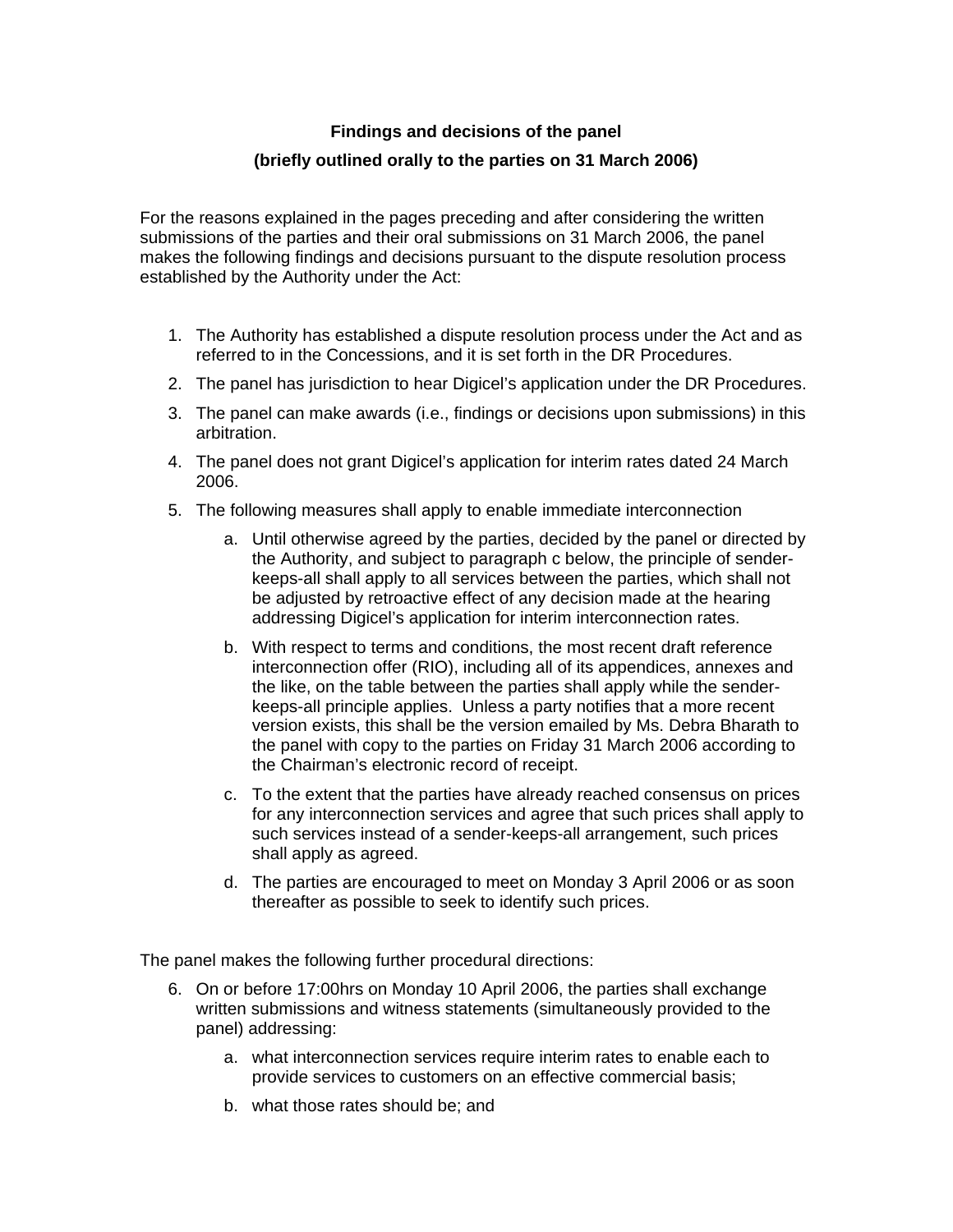## **Findings and decisions of the panel**

## **(briefly outlined orally to the parties on 31 March 2006)**

For the reasons explained in the pages preceding and after considering the written submissions of the parties and their oral submissions on 31 March 2006, the panel makes the following findings and decisions pursuant to the dispute resolution process established by the Authority under the Act:

- 1. The Authority has established a dispute resolution process under the Act and as referred to in the Concessions, and it is set forth in the DR Procedures.
- 2. The panel has jurisdiction to hear Digicel's application under the DR Procedures.
- 3. The panel can make awards (i.e., findings or decisions upon submissions) in this arbitration.
- 4. The panel does not grant Digicel's application for interim rates dated 24 March 2006.
- 5. The following measures shall apply to enable immediate interconnection
	- a. Until otherwise agreed by the parties, decided by the panel or directed by the Authority, and subject to paragraph c below, the principle of senderkeeps-all shall apply to all services between the parties, which shall not be adjusted by retroactive effect of any decision made at the hearing addressing Digicel's application for interim interconnection rates.
	- b. With respect to terms and conditions, the most recent draft reference interconnection offer (RIO), including all of its appendices, annexes and the like, on the table between the parties shall apply while the senderkeeps-all principle applies. Unless a party notifies that a more recent version exists, this shall be the version emailed by Ms. Debra Bharath to the panel with copy to the parties on Friday 31 March 2006 according to the Chairman's electronic record of receipt.
	- c. To the extent that the parties have already reached consensus on prices for any interconnection services and agree that such prices shall apply to such services instead of a sender-keeps-all arrangement, such prices shall apply as agreed.
	- d. The parties are encouraged to meet on Monday 3 April 2006 or as soon thereafter as possible to seek to identify such prices.

The panel makes the following further procedural directions:

- 6. On or before 17:00hrs on Monday 10 April 2006, the parties shall exchange written submissions and witness statements (simultaneously provided to the panel) addressing:
	- a. what interconnection services require interim rates to enable each to provide services to customers on an effective commercial basis;
	- b. what those rates should be; and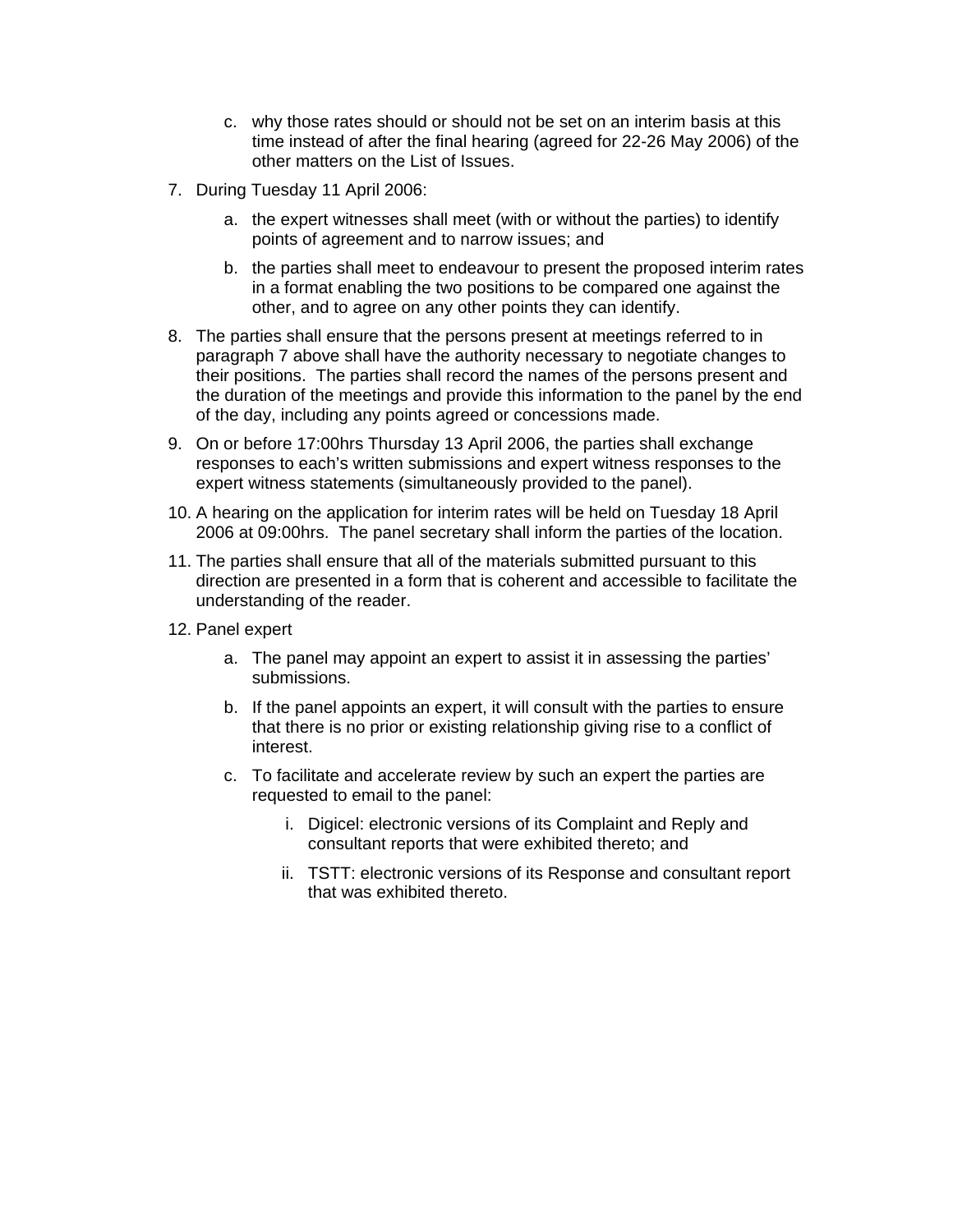- c. why those rates should or should not be set on an interim basis at this time instead of after the final hearing (agreed for 22-26 May 2006) of the other matters on the List of Issues.
- 7. During Tuesday 11 April 2006:
	- a. the expert witnesses shall meet (with or without the parties) to identify points of agreement and to narrow issues; and
	- b. the parties shall meet to endeavour to present the proposed interim rates in a format enabling the two positions to be compared one against the other, and to agree on any other points they can identify.
- 8. The parties shall ensure that the persons present at meetings referred to in paragraph 7 above shall have the authority necessary to negotiate changes to their positions. The parties shall record the names of the persons present and the duration of the meetings and provide this information to the panel by the end of the day, including any points agreed or concessions made.
- 9. On or before 17:00hrs Thursday 13 April 2006, the parties shall exchange responses to each's written submissions and expert witness responses to the expert witness statements (simultaneously provided to the panel).
- 10. A hearing on the application for interim rates will be held on Tuesday 18 April 2006 at 09:00hrs. The panel secretary shall inform the parties of the location.
- 11. The parties shall ensure that all of the materials submitted pursuant to this direction are presented in a form that is coherent and accessible to facilitate the understanding of the reader.
- 12. Panel expert
	- a. The panel may appoint an expert to assist it in assessing the parties' submissions.
	- b. If the panel appoints an expert, it will consult with the parties to ensure that there is no prior or existing relationship giving rise to a conflict of interest.
	- c. To facilitate and accelerate review by such an expert the parties are requested to email to the panel:
		- i. Digicel: electronic versions of its Complaint and Reply and consultant reports that were exhibited thereto; and
		- ii. TSTT: electronic versions of its Response and consultant report that was exhibited thereto.